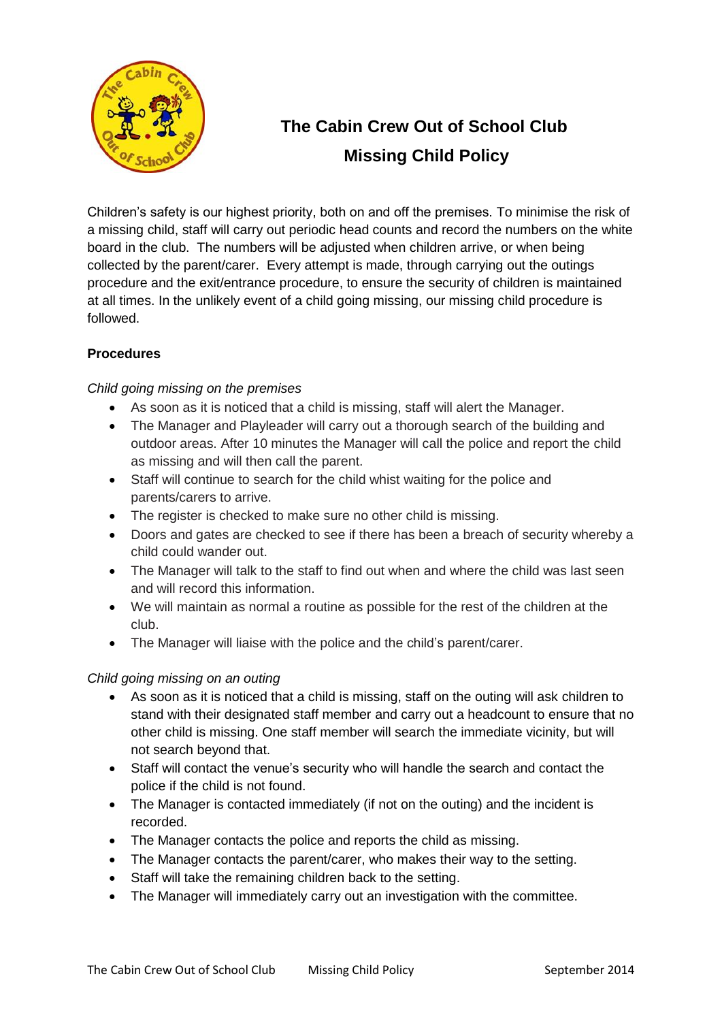

# **The Cabin Crew Out of School Club Missing Child Policy**

Children's safety is our highest priority, both on and off the premises. To minimise the risk of a missing child, staff will carry out periodic head counts and record the numbers on the white board in the club. The numbers will be adjusted when children arrive, or when being collected by the parent/carer. Every attempt is made, through carrying out the outings procedure and the exit/entrance procedure, to ensure the security of children is maintained at all times. In the unlikely event of a child going missing, our missing child procedure is followed.

## **Procedures**

## *Child going missing on the premises*

- As soon as it is noticed that a child is missing, staff will alert the Manager.
- The Manager and Playleader will carry out a thorough search of the building and outdoor areas. After 10 minutes the Manager will call the police and report the child as missing and will then call the parent.
- Staff will continue to search for the child whist waiting for the police and parents/carers to arrive.
- The register is checked to make sure no other child is missing.
- Doors and gates are checked to see if there has been a breach of security whereby a child could wander out.
- The Manager will talk to the staff to find out when and where the child was last seen and will record this information.
- We will maintain as normal a routine as possible for the rest of the children at the club.
- The Manager will liaise with the police and the child's parent/carer.

## *Child going missing on an outing*

- As soon as it is noticed that a child is missing, staff on the outing will ask children to stand with their designated staff member and carry out a headcount to ensure that no other child is missing. One staff member will search the immediate vicinity, but will not search beyond that.
- Staff will contact the venue's security who will handle the search and contact the police if the child is not found.
- The Manager is contacted immediately (if not on the outing) and the incident is recorded.
- The Manager contacts the police and reports the child as missing.
- The Manager contacts the parent/carer, who makes their way to the setting.
- Staff will take the remaining children back to the setting.
- The Manager will immediately carry out an investigation with the committee.